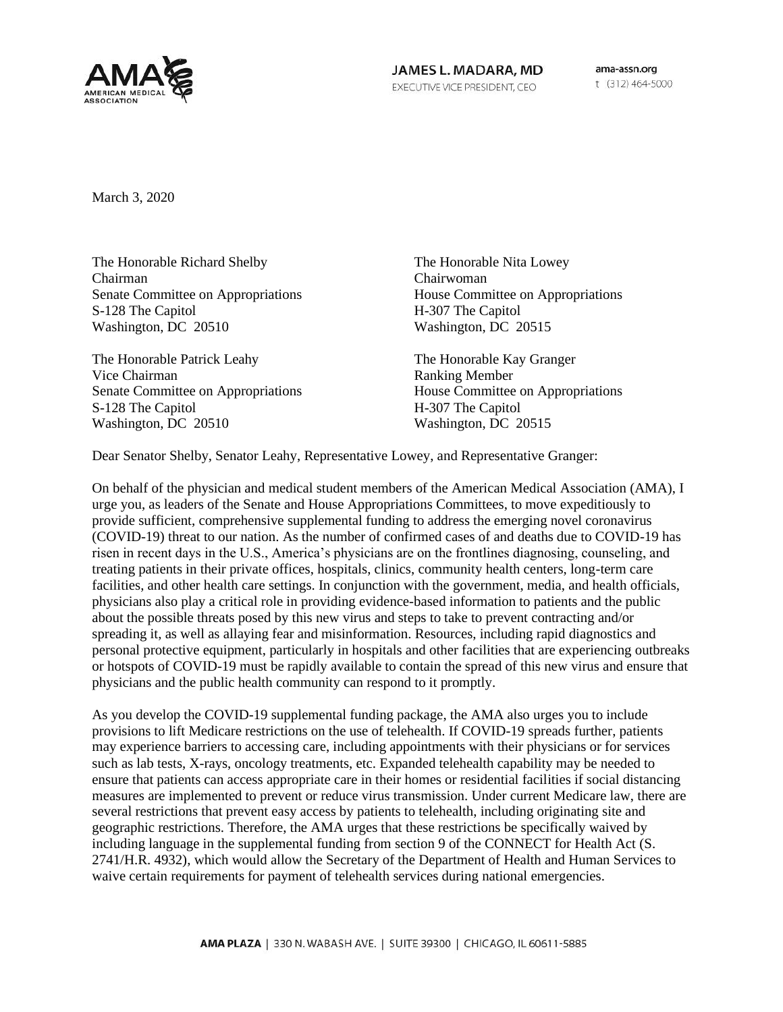

JAMES L. MADARA, MD EXECUTIVE VICE PRESIDENT, CEO

ama-assn.org t (312) 464-5000

March 3, 2020

The Honorable Richard Shelby Chairman Senate Committee on Appropriations S-128 The Capitol Washington, DC 20510

The Honorable Patrick Leahy Vice Chairman Senate Committee on Appropriations S-128 The Capitol Washington, DC 20510

The Honorable Nita Lowey Chairwoman House Committee on Appropriations H-307 The Capitol Washington, DC 20515

The Honorable Kay Granger Ranking Member House Committee on Appropriations H-307 The Capitol Washington, DC 20515

Dear Senator Shelby, Senator Leahy, Representative Lowey, and Representative Granger:

On behalf of the physician and medical student members of the American Medical Association (AMA), I urge you, as leaders of the Senate and House Appropriations Committees, to move expeditiously to provide sufficient, comprehensive supplemental funding to address the emerging novel coronavirus (COVID-19) threat to our nation. As the number of confirmed cases of and deaths due to COVID-19 has risen in recent days in the U.S., America's physicians are on the frontlines diagnosing, counseling, and treating patients in their private offices, hospitals, clinics, community health centers, long-term care facilities, and other health care settings. In conjunction with the government, media, and health officials, physicians also play a critical role in providing evidence-based information to patients and the public about the possible threats posed by this new virus and steps to take to prevent contracting and/or spreading it, as well as allaying fear and misinformation. Resources, including rapid diagnostics and personal protective equipment, particularly in hospitals and other facilities that are experiencing outbreaks or hotspots of COVID-19 must be rapidly available to contain the spread of this new virus and ensure that physicians and the public health community can respond to it promptly.

As you develop the COVID-19 supplemental funding package, the AMA also urges you to include provisions to lift Medicare restrictions on the use of telehealth. If COVID-19 spreads further, patients may experience barriers to accessing care, including appointments with their physicians or for services such as lab tests, X-rays, oncology treatments, etc. Expanded telehealth capability may be needed to ensure that patients can access appropriate care in their homes or residential facilities if social distancing measures are implemented to prevent or reduce virus transmission. Under current Medicare law, there are several restrictions that prevent easy access by patients to telehealth, including originating site and geographic restrictions. Therefore, the AMA urges that these restrictions be specifically waived by including language in the supplemental funding from section 9 of the CONNECT for Health Act (S. 2741/H.R. 4932), which would allow the Secretary of the Department of Health and Human Services to waive certain requirements for payment of telehealth services during national emergencies.